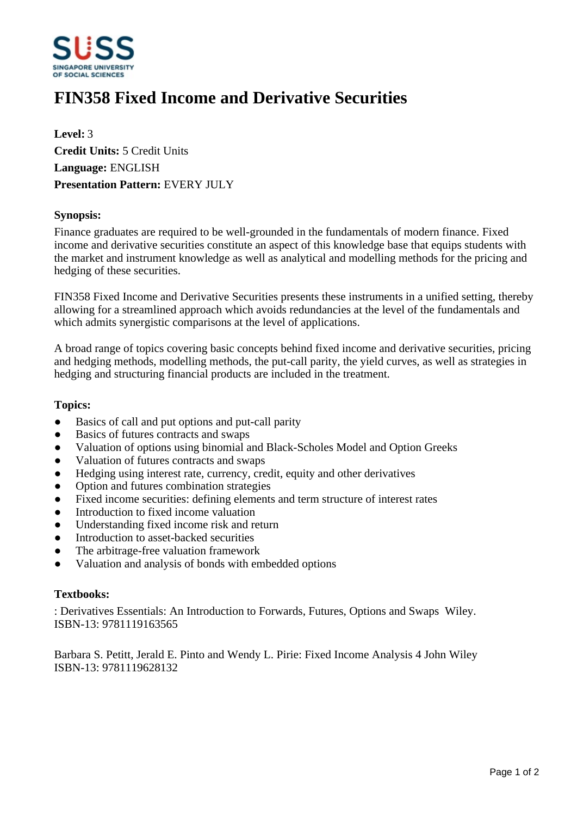

# **FIN358 Fixed Income and Derivative Securities**

**Level:** 3 **Credit Units:** 5 Credit Units **Language:** ENGLISH **Presentation Pattern:** EVERY JULY

## **Synopsis:**

Finance graduates are required to be well-grounded in the fundamentals of modern finance. Fixed income and derivative securities constitute an aspect of this knowledge base that equips students with the market and instrument knowledge as well as analytical and modelling methods for the pricing and hedging of these securities.

FIN358 Fixed Income and Derivative Securities presents these instruments in a unified setting, thereby allowing for a streamlined approach which avoids redundancies at the level of the fundamentals and which admits synergistic comparisons at the level of applications.

A broad range of topics covering basic concepts behind fixed income and derivative securities, pricing and hedging methods, modelling methods, the put-call parity, the yield curves, as well as strategies in hedging and structuring financial products are included in the treatment.

## **Topics:**

- Basics of call and put options and put-call parity
- Basics of futures contracts and swaps
- ƔValuation of options using binomial and Black-Scholes Model and Option Greeks
- Valuation of futures contracts and swaps
- Hedging using interest rate, currency, credit, equity and other derivatives
- Option and futures combination strategies
- Fixed income securities: defining elements and term structure of interest rates
- Introduction to fixed income valuation
- Understanding fixed income risk and return
- Introduction to asset-backed securities
- The arbitrage-free valuation framework
- ƔValuation and analysis of bonds with embedded options

#### **Textbooks:**

: Derivatives Essentials: An Introduction to Forwards, Futures, Options and Swaps Wiley. ISBN-13: 9781119163565

Barbara S. Petitt, Jerald E. Pinto and Wendy L. Pirie: Fixed Income Analysis 4 John Wiley ISBN-13: 9781119628132